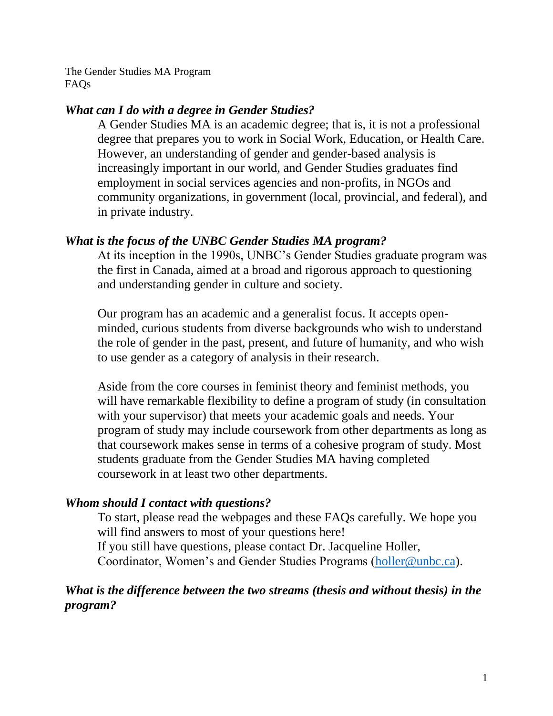The Gender Studies MA Program FAQs

# *What can I do with a degree in Gender Studies?*

A Gender Studies MA is an academic degree; that is, it is not a professional degree that prepares you to work in Social Work, Education, or Health Care. However, an understanding of gender and gender-based analysis is increasingly important in our world, and Gender Studies graduates find employment in social services agencies and non-profits, in NGOs and community organizations, in government (local, provincial, and federal), and in private industry.

# *What is the focus of the UNBC Gender Studies MA program?*

At its inception in the 1990s, UNBC's Gender Studies graduate program was the first in Canada, aimed at a broad and rigorous approach to questioning and understanding gender in culture and society.

Our program has an academic and a generalist focus. It accepts openminded, curious students from diverse backgrounds who wish to understand the role of gender in the past, present, and future of humanity, and who wish to use gender as a category of analysis in their research.

Aside from the core courses in feminist theory and feminist methods, you will have remarkable flexibility to define a program of study (in consultation with your supervisor) that meets your academic goals and needs. Your program of study may include coursework from other departments as long as that coursework makes sense in terms of a cohesive program of study. Most students graduate from the Gender Studies MA having completed coursework in at least two other departments.

# *Whom should I contact with questions?*

To start, please read the webpages and these FAQs carefully. We hope you will find answers to most of your questions here! If you still have questions, please contact Dr. Jacqueline Holler, Coordinator, Women's and Gender Studies Programs [\(holler@unbc.ca\)](mailto:holler@unbc.ca).

# *What is the difference between the two streams (thesis and without thesis) in the program?*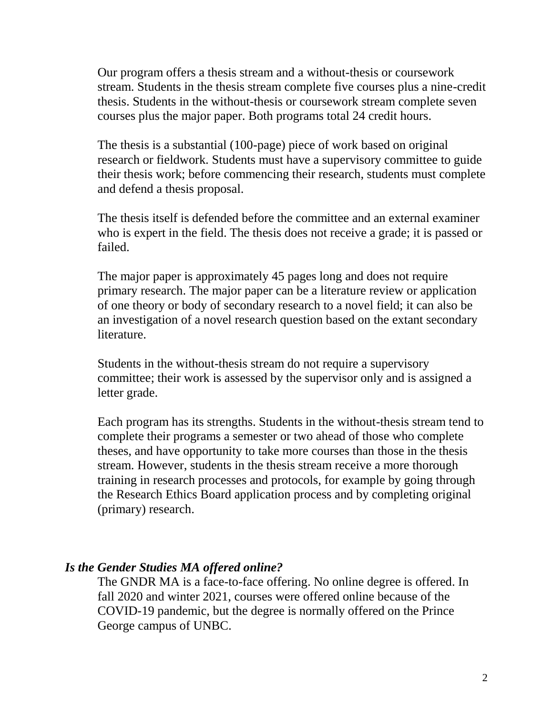Our program offers a thesis stream and a without-thesis or coursework stream. Students in the thesis stream complete five courses plus a nine-credit thesis. Students in the without-thesis or coursework stream complete seven courses plus the major paper. Both programs total 24 credit hours.

The thesis is a substantial (100-page) piece of work based on original research or fieldwork. Students must have a supervisory committee to guide their thesis work; before commencing their research, students must complete and defend a thesis proposal.

The thesis itself is defended before the committee and an external examiner who is expert in the field. The thesis does not receive a grade; it is passed or failed.

The major paper is approximately 45 pages long and does not require primary research. The major paper can be a literature review or application of one theory or body of secondary research to a novel field; it can also be an investigation of a novel research question based on the extant secondary literature.

Students in the without-thesis stream do not require a supervisory committee; their work is assessed by the supervisor only and is assigned a letter grade.

Each program has its strengths. Students in the without-thesis stream tend to complete their programs a semester or two ahead of those who complete theses, and have opportunity to take more courses than those in the thesis stream. However, students in the thesis stream receive a more thorough training in research processes and protocols, for example by going through the Research Ethics Board application process and by completing original (primary) research.

### *Is the Gender Studies MA offered online?*

The GNDR MA is a face-to-face offering. No online degree is offered. In fall 2020 and winter 2021, courses were offered online because of the COVID-19 pandemic, but the degree is normally offered on the Prince George campus of UNBC.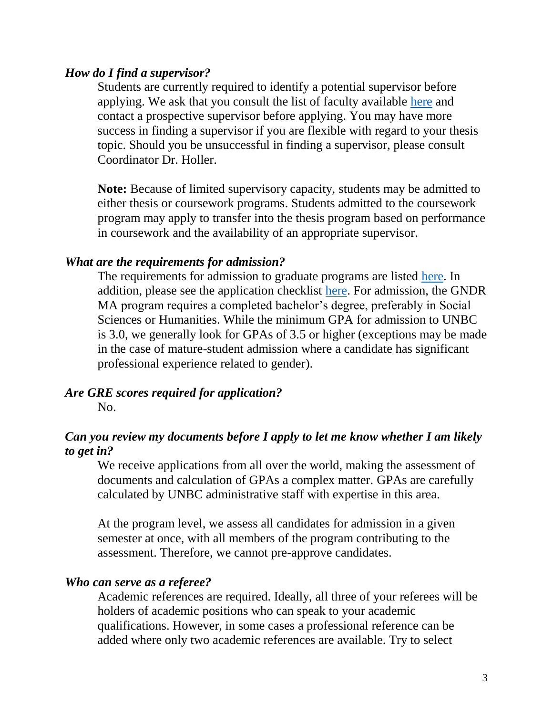### *How do I find a supervisor?*

Students are currently required to identify a potential supervisor before applying. We ask that you consult the list of faculty available [here](https://www2.unbc.ca/gender-studies/faculty-0) and contact a prospective supervisor before applying. You may have more success in finding a supervisor if you are flexible with regard to your thesis topic. Should you be unsuccessful in finding a supervisor, please consult Coordinator Dr. Holler.

**Note:** Because of limited supervisory capacity, students may be admitted to either thesis or coursework programs. Students admitted to the coursework program may apply to transfer into the thesis program based on performance in coursework and the availability of an appropriate supervisor.

### *What are the requirements for admission?*

The requirements for admission to graduate programs are listed [here.](https://www.unbc.ca/calendar/graduate/admissions) In addition, please see the application checklist [here.](https://www.unbc.ca/apply/graduate/ma-international-studies) For admission, the GNDR MA program requires a completed bachelor's degree, preferably in Social Sciences or Humanities. While the minimum GPA for admission to UNBC is 3.0, we generally look for GPAs of 3.5 or higher (exceptions may be made in the case of mature-student admission where a candidate has significant professional experience related to gender).

# *Are GRE scores required for application?*

No.

# *Can you review my documents before I apply to let me know whether I am likely to get in?*

We receive applications from all over the world, making the assessment of documents and calculation of GPAs a complex matter. GPAs are carefully calculated by UNBC administrative staff with expertise in this area.

At the program level, we assess all candidates for admission in a given semester at once, with all members of the program contributing to the assessment. Therefore, we cannot pre-approve candidates.

#### *Who can serve as a referee?*

Academic references are required. Ideally, all three of your referees will be holders of academic positions who can speak to your academic qualifications. However, in some cases a professional reference can be added where only two academic references are available. Try to select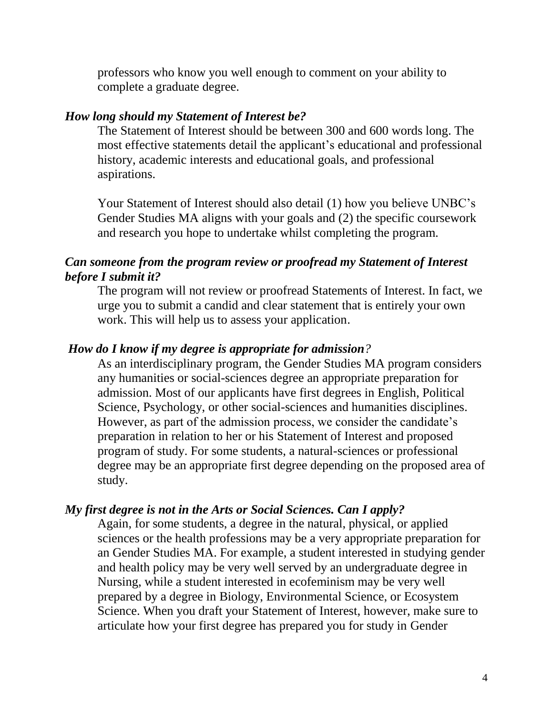professors who know you well enough to comment on your ability to complete a graduate degree.

#### *How long should my Statement of Interest be?*

The Statement of Interest should be between 300 and 600 words long. The most effective statements detail the applicant's educational and professional history, academic interests and educational goals, and professional aspirations.

Your Statement of Interest should also detail (1) how you believe UNBC's Gender Studies MA aligns with your goals and (2) the specific coursework and research you hope to undertake whilst completing the program.

# *Can someone from the program review or proofread my Statement of Interest before I submit it?*

The program will not review or proofread Statements of Interest. In fact, we urge you to submit a candid and clear statement that is entirely your own work. This will help us to assess your application.

# *How do I know if my degree is appropriate for admission?*

As an interdisciplinary program, the Gender Studies MA program considers any humanities or social-sciences degree an appropriate preparation for admission. Most of our applicants have first degrees in English, Political Science, Psychology, or other social-sciences and humanities disciplines. However, as part of the admission process, we consider the candidate's preparation in relation to her or his Statement of Interest and proposed program of study. For some students, a natural-sciences or professional degree may be an appropriate first degree depending on the proposed area of study.

#### *My first degree is not in the Arts or Social Sciences. Can I apply?*

Again, for some students, a degree in the natural, physical, or applied sciences or the health professions may be a very appropriate preparation for an Gender Studies MA. For example, a student interested in studying gender and health policy may be very well served by an undergraduate degree in Nursing, while a student interested in ecofeminism may be very well prepared by a degree in Biology, Environmental Science, or Ecosystem Science. When you draft your Statement of Interest, however, make sure to articulate how your first degree has prepared you for study in Gender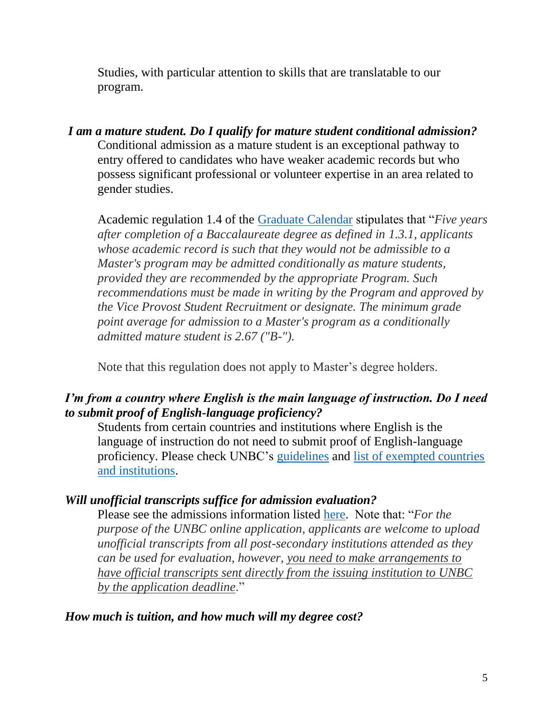Studies, with particular attention to skills that are translatable to our program.

*I am a mature student. Do I qualify for mature student conditional admission?*  Conditional admission as a mature student is an exceptional pathway to entry offered to candidates who have weaker academic records but who possess significant professional or volunteer expertise in an area related to gender studies.

Academic regulation 1.4 of the [Graduate Calendar](https://www.unbc.ca/calendar/graduate/admissions) stipulates that "*Five years after completion of a Baccalaureate degree as defined in 1.3.1, applicants whose academic record is such that they would not be admissible to a Master's program may be admitted conditionally as mature students, provided they are recommended by the appropriate Program. Such recommendations must be made in writing by the Program and approved by the Vice Provost Student Recruitment or designate. The minimum grade point average for admission to a Master's program as a conditionally admitted mature student is 2.67 ("B-").*

Note that this regulation does not apply to Master's degree holders.

# *I'm from a country where English is the main language of instruction. Do I need to submit proof of English-language proficiency?*

Students from certain countries and institutions where English is the language of instruction do not need to submit proof of English-language proficiency. Please check UNBC's [guidelines](https://www.unbc.ca/admissions/graduate/english-language-proficiency) and [list of exempted countries](https://www.unbc.ca/admissions/graduate/english-language-proficiency#exemptions)  [and institutions.](https://www.unbc.ca/admissions/graduate/english-language-proficiency#exemptions)

# *Will unofficial transcripts suffice for admission evaluation?*

Please see the admissions information listed [here.](https://www.unbc.ca/admissions/graduate/transcripts) Note that: "*For the purpose of the UNBC online application, applicants are welcome to upload unofficial transcripts from all post-secondary institutions attended as they can be used for evaluation, however, you need to make arrangements to have official transcripts sent directly from the issuing institution to UNBC by the application deadline*."

### *How much is tuition, and how much will my degree cost?*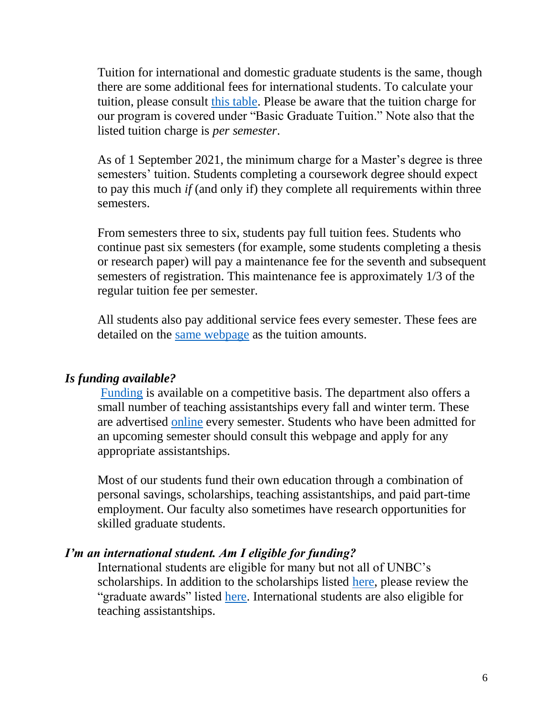Tuition for international and domestic graduate students is the same, though there are some additional fees for international students. To calculate your tuition, please consult [this table.](https://www.unbc.ca/finance/accounts-receivable/fees-unbc#Graduate) Please be aware that the tuition charge for our program is covered under "Basic Graduate Tuition." Note also that the listed tuition charge is *per semester*.

As of 1 September 2021, the minimum charge for a Master's degree is three semesters' tuition. Students completing a coursework degree should expect to pay this much *if* (and only if) they complete all requirements within three semesters.

From semesters three to six, students pay full tuition fees. Students who continue past six semesters (for example, some students completing a thesis or research paper) will pay a maintenance fee for the seventh and subsequent semesters of registration. This maintenance fee is approximately 1/3 of the regular tuition fee per semester.

All students also pay additional service fees every semester. These fees are detailed on the [same webpage](file:///C:/Users/jacquelineholler/Library/Containers/com.microsoft.Word/Data/Desktop/INTS%20chair%202020--2025%20/%20https/www.unbc.ca/finance/accounts-receivable/fees-unbc%23Graduate) as the tuition amounts.

# *Is funding available?*

[Funding](https://www.unbc.ca/financial-aid/graduate-awards-overview) is available on a competitive basis. The department also offers a small number of teaching assistantships every fall and winter term. These are advertised [online](https://www.unbc.ca/career-opportunities/current-graduate-teaching-assistantship-postings) every semester. Students who have been admitted for an upcoming semester should consult this webpage and apply for any appropriate assistantships.

Most of our students fund their own education through a combination of personal savings, scholarships, teaching assistantships, and paid part-time employment. Our faculty also sometimes have research opportunities for skilled graduate students.

### *I'm an international student. Am I eligible for funding?*

International students are eligible for many but not all of UNBC's scholarships. In addition to the scholarships listed [here,](https://www.unbc.ca/financial-aid/graduate-awards-overview) please review the "graduate awards" listed [here.](https://www.unbc.ca/sites/default/files/sections/financial-aid/awardsforinternationalstudentsapplicantsupdatedjuly2017.pdf) International students are also eligible for teaching assistantships.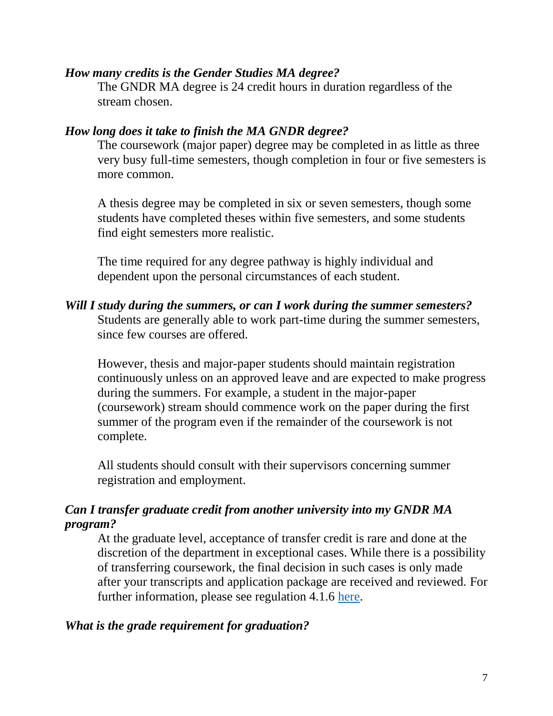### *How many credits is the Gender Studies MA degree?*

The GNDR MA degree is 24 credit hours in duration regardless of the stream chosen.

### *How long does it take to finish the MA GNDR degree?*

The coursework (major paper) degree may be completed in as little as three very busy full-time semesters, though completion in four or five semesters is more common.

A thesis degree may be completed in six or seven semesters, though some students have completed theses within five semesters, and some students find eight semesters more realistic.

The time required for any degree pathway is highly individual and dependent upon the personal circumstances of each student.

# *Will I study during the summers, or can I work during the summer semesters?*

Students are generally able to work part-time during the summer semesters, since few courses are offered.

However, thesis and major-paper students should maintain registration continuously unless on an approved leave and are expected to make progress during the summers. For example, a student in the major-paper (coursework) stream should commence work on the paper during the first summer of the program even if the remainder of the coursework is not complete.

All students should consult with their supervisors concerning summer registration and employment.

# *Can I transfer graduate credit from another university into my GNDR MA program?*

At the graduate level, acceptance of transfer credit is rare and done at the discretion of the department in exceptional cases. While there is a possibility of transferring coursework, the final decision in such cases is only made after your transcripts and application package are received and reviewed. For further information, please see regulation 4.1.6 [here.](https://www2.unbc.ca/calendar/graduate/admissions)

# *What is the grade requirement for graduation?*